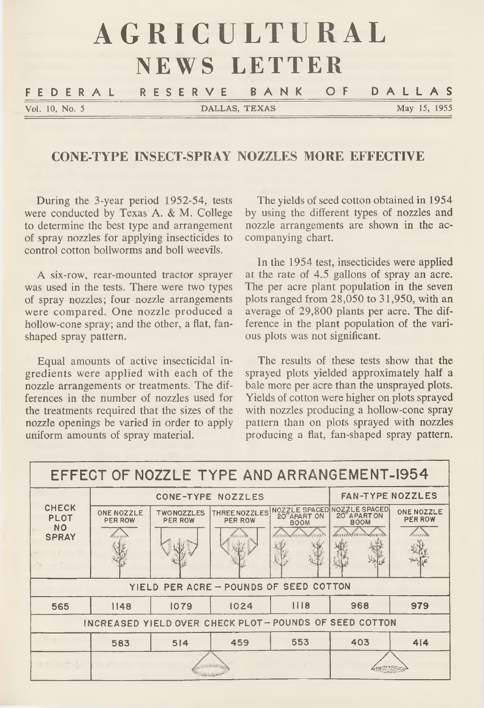# AGRICULTURAL **NEWS LETTER** FEDERAL RESERVE BANK OF DALLAS Vol. 10, No. 5 DALLAS, TEXAS May 15, 1955

#### **CONE-TYPE INSECT-SPRAY NOZZLES MORE EFFECTIVE**

During the 3-year period 1952-54, tests were conducted by Texas A. & M. College to determine the best type and arrangement of spray nozzles for applying insecticides to control cotton bollworms and boll weevils.

A six-row, rear-mounted tractor sprayer was used in the tests. There were two types of spray nozzles; four nozzle arrangements were compared. One nozzle produced a hollow-cone spray; and the other, a flat, fanshaped spray pattern.

Equal amounts of active insecticidal ingredients were applied with each of the nozzle arrangements or treatments. The differences in the number of nozzles used for the treatments required that the sizes of the nozzle openings be varied in order to apply uniform amounts of spray material.

The yields of seed cotton obtained in 1954 by using the different types of nozzles and nozzle arrangements are shown in the accompanying chart.

In the 1954 test, insecticides were applied at the rate of 4.5 gallons of spray an acre. The per acre plant population in the seven plots ranged from 28,050 to 31,950, with an average of 29,800 plants per acre. The difference in the plant population of the various plots was not significant.

The results of these tests show that the sprayed plots yielded approximately half a bale more per acre than the unsprayed plots. Yields of cotton were higher on plots sprayed with nozzles producing a hollow-cone spray pattern than on plots sprayed with nozzles producing a flat, fan-shaped spray pattern.

| EFFECT OF NOZZLE TYPE AND ARRANGEMENT-1954               |                              |                                     |                                 |             |                                                                                   |                              |
|----------------------------------------------------------|------------------------------|-------------------------------------|---------------------------------|-------------|-----------------------------------------------------------------------------------|------------------------------|
| <b>CHECK</b><br><b>PLOT</b><br><b>NO</b><br><b>SPRAY</b> | <b>CONE-TYPE NOZZLES</b>     |                                     |                                 |             | <b>FAN-TYPE NOZZLES</b>                                                           |                              |
|                                                          | ONE NOZZLE<br><b>PER ROW</b> | <b>TWONOZZLES</b><br><b>PER ROW</b> | THREE NOZZLES<br><b>PER ROW</b> | 20"APART ON | NOZZLE SPACED NOZZLE SPACED<br>20" APARTON<br><b>BOOM</b><br><b>MITHWAITHWWW.</b> | ONE NOZZLE<br><b>PER ROW</b> |
|                                                          |                              |                                     |                                 |             |                                                                                   |                              |
| YIELD PER ACRE - POUNDS OF SEED COTTON                   |                              |                                     |                                 |             |                                                                                   |                              |
| 565                                                      | 1148                         | 1079                                | 1024                            | 1118        | 968                                                                               | 979                          |
| INCREASED YIELD OVER CHECK PLOT - POUNDS OF SEED COTTON  |                              |                                     |                                 |             |                                                                                   |                              |
|                                                          | 583                          | 514                                 | 459                             | 553         | 403                                                                               | 4 4                          |
|                                                          |                              |                                     |                                 |             |                                                                                   |                              |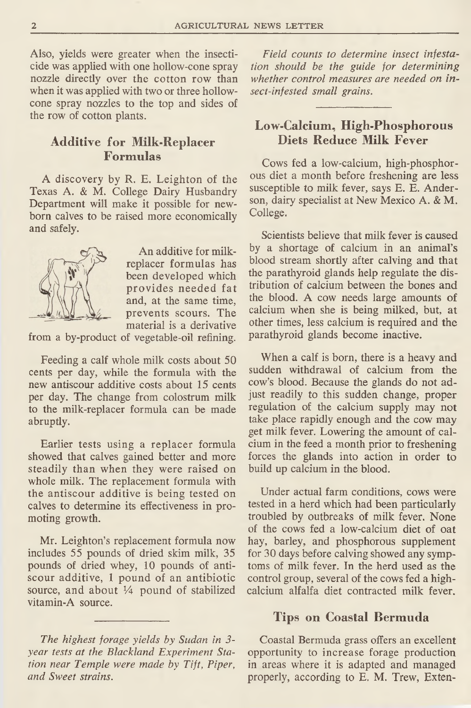Also, yields were greater when the insecticide was applied with one hollow-cone spray nozzle directly over the cotton row than when it was applied with two or three hollowcone spray nozzles to the top and sides of the row of cotton plants.

## **Additive for Milk-Replacer Formulas**

A discovery by R. E. Leighton of the Texas A. & M. College Dairy Husbandry Department will make it possible for newborn calves to be raised more economically and safely.



An additive for milkreplacer formulas has been developed which provides needed fat and, at the same time, prevents scours. The material is a derivative

from a by-product of vegetable-oil refining.

Feeding a calf whole milk costs about 50 cents per day, while the formula with the new antiscour additive costs about 15 cents per day. The change from colostrum milk to the milk-replacer formula can be made abruptly.

Earlier tests using a replacer formula showed that calves gained better and more steadily than when they were raised on whole milk. The replacement formula with the antiscour additive is being tested on calves to determine its effectiveness in promoting growth.

Mr. Leighton's replacement formula now includes 55 pounds of dried skim milk, 35 pounds of dried whey, 10 pounds of antiscour additive, 1 pound of an antibiotic source, and about *lA* pound of stabilized vitamin-A source.

*The highest forage yields by Sudan in 3 year tests at the Blackland Experiment Station near Temple were made by Tift, Piper, and Sweet strains.*

*Field counts to determine insect infestation should be the guide for determining whether control measures are needed on insect-infested small grains.*

### **Low-Calcium, High-Phosphorous Diets Reduce Milk Fever**

Cows fed a low-calcium, high-phosphorous diet a month before freshening are less susceptible to milk fever, says E. E. Anderson, dairy specialist at New Mexico A. & M. College.

Scientists believe that milk fever is caused by a shortage of calcium in an animal's blood stream shortly after calving and that the parathyroid glands help regulate the distribution of calcium between the bones and the blood. A cow needs large amounts of calcium when she is being milked, but, at other times, less calcium is required and the parathyroid glands become inactive.

When a calf is born, there is a heavy and sudden withdrawal of calcium from the cow's blood. Because the glands do not adjust readily to this sudden change, proper regulation of the calcium supply may not take place rapidly enough and the cow may get milk fever. Lowering the amount of calcium in the feed a month prior to freshening forces the glands into action in order to build up calcium in the blood.

Under actual farm conditions, cows were tested in a herd which had been particularly troubled by outbreaks of milk fever. None of the cows fed a low-calcium diet of oat hay, barley, and phosphorous supplement for 30 days before calving showed any symptoms of milk fever. In the herd used as the control group, several of the cows fed a highcalcium alfalfa diet contracted milk fever.

#### **Tips on Coastal Bermuda**

Coastal Bermuda grass offers an excellent opportunity to increase forage production in areas where it is adapted and managed properly, according to E. M. Trew, Exten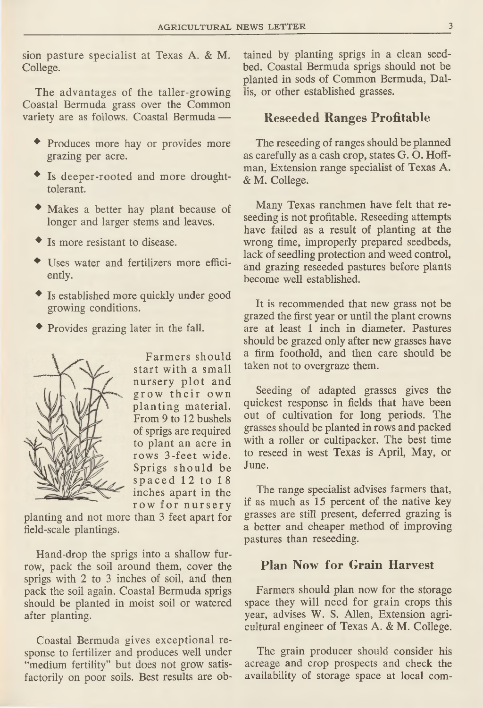sion pasture specialist at Texas A. & M. College.

The advantages of the taller-growing Coastal Bermuda grass over the Common variety are as follows. Coastal Bermuda —

- ♦ Produces more hay or provides more grazing per acre.
- ♦ Is deeper-rooted and more droughttolerant.
- ♦ Makes a better hay plant because of longer and larger stems and leaves.
- Is more resistant to disease.
- ♦ Uses water and fertilizers more efficiently.
- ♦ Is established more quickly under good growing conditions.
- ♦ Provides grazing later in the fall.



Farmers should start with a small nursery plot and grow their own planting material. From 9 to 12 bushels of sprigs are required to plant an acre in rows 3-feet wide. Sprigs should be spaced 12 to 18 inches apart in the row for nursery

planting and not more than 3 feet apart for field-scale plantings.

Hand-drop the sprigs into a shallow furrow, pack the soil around them, cover the sprigs with 2 to 3 inches of soil, and then pack the soil again. Coastal Bermuda sprigs should be planted in moist soil or watered after planting.

Coastal Bermuda gives exceptional response to fertilizer and produces well under "medium fertility" but does not grow satisfactorily on poor soils. Best results are obtained by planting sprigs in a clean seedbed. Coastal Bermuda sprigs should not be planted in sods of Common Bermuda, Dallis, or other established grasses.

#### **Reseeded Ranges Profitable**

The reseeding of ranges should be planned as carefully as a cash crop, states G. O. Hoffman, Extension range specialist of Texas A. & M. College.

Many Texas ranchmen have felt that reseeding is not profitable. Reseeding attempts have failed as a result of planting at the wrong time, improperly prepared seedbeds, lack of seedling protection and weed control, and grazing reseeded pastures before plants become well established.

It is recommended that new grass not be grazed the first year or until the plant crowns are at least 1 inch in diameter. Pastures should be grazed only after new grasses have a firm foothold, and then care should be taken not to overgraze them.

Seeding of adapted grasses gives the quickest response in fields that have been out of cultivation for long periods. The grasses should be planted in rows and packed with a roller or cultipacker. The best time to reseed in west Texas is April, May, or June.

The range specialist advises farmers that, if as much as 15 percent of the native key grasses are still present, deferred grazing is a better and cheaper method of improving pastures than reseeding.

## **Plan Now for Grain Harvest**

Farmers should plan now for the storage space they will need for grain crops this year, advises W. S. Allen, Extension agricultural engineer of Texas A. & M. College.

The grain producer should consider his acreage and crop prospects and check the availability of storage space at local com-